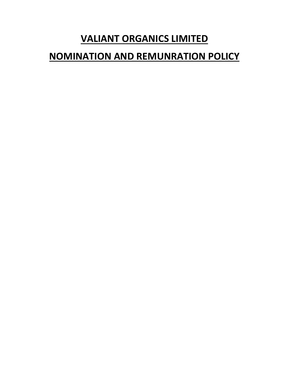# **VALIANT ORGANICS LIMITED**

# **NOMINATION AND REMUNRATION POLICY**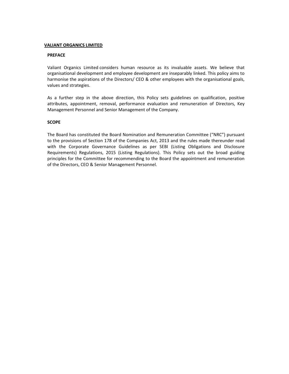## **VALIANT ORGANICS LIMITED**

## **PREFACE**

Valiant Organics Limited considers human resource as its invaluable assets. We believe that organisational development and employee development are inseparably linked. This policy aims to harmonise the aspirations of the Directors/ CEO & other employees with the organisational goals, values and strategies.

As a further step in the above direction, this Policy sets guidelines on qualification, positive attributes, appointment, removal, performance evaluation and remuneration of Directors, Key Management Personnel and Senior Management of the Company.

## **SCOPE**

The Board has constituted the Board Nomination and Remuneration Committee ("NRC") pursuant to the provisions of Section 178 of the Companies Act, 2013 and the rules made thereunder read with the Corporate Governance Guidelines as per SEBI (Listing Obligations and Disclosure Requirements) Regulations, 2015 (Listing Regulations). This Policy sets out the broad guiding principles for the Committee for recommending to the Board the appointment and remuneration of the Directors, CEO & Senior Management Personnel.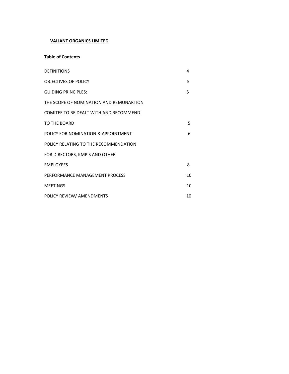# **VALIANT ORGANICS LIMITED**

## **Table of Contents**

| <b>DEFINITIONS</b>                      | 4  |
|-----------------------------------------|----|
| <b>OBJECTIVES OF POLICY</b>             | 5  |
| <b>GUIDING PRINCIPLES:</b>              | 5  |
| THE SCOPE OF NOMINATION AND REMUNARTION |    |
| COMITEE TO BE DEALT WITH AND RECOMMEND  |    |
| TO THE BOARD                            | 5  |
| POLICY FOR NOMINATION & APPOINTMENT     | 6  |
| POLICY RELATING TO THE RECOMMENDATION   |    |
| FOR DIRECTORS, KMP'S AND OTHER          |    |
| <b>EMPLOYEES</b>                        | 8  |
| PERFORMANCE MANAGEMENT PROCESS          | 10 |
| <b>MEETINGS</b>                         | 10 |
| POLICY REVIEW/ AMENDMENTS               | 10 |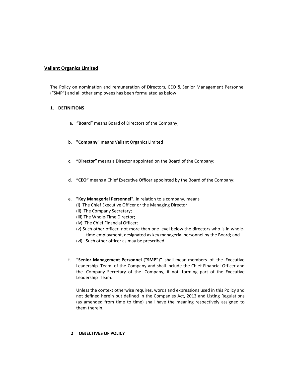## **Valiant Organics Limited**

The Policy on nomination and remuneration of Directors, CEO & Senior Management Personnel ("SMP") and all other employees has been formulated as below:

## **1. DEFINITIONS**

- a. **"Board"** means Board of Directors of the Company;
- b. **"Company"** means Valiant Organics Limited
- c. **"Director"** means a Director appointed on the Board of the Company;
- d. **"CEO"** means a Chief Executive Officer appointed by the Board of the Company;
- e. **"Key Managerial Personnel",** in relation to a company, means
	- **(**i) The Chief Executive Officer or the Managing Director
	- (ii) The Company Secretary;
	- (iii) The Whole‐Time Director;
	- (iv) The Chief Financial Officer;
	- (v) Such other officer, not more than one level below the directors who is in whole‐ time employment, designated as key managerial personnel by the Board; and
	- (vi) Such other officer as may be prescribed
- f. **"Senior Management Personnel ("SMP")"** shall mean members of the Executive Leadership Team of the Company and shall include the Chief Financial Officer and the Company Secretary of the Company, if not forming part of the Executive Leadership Team.

Unless the context otherwise requires, words and expressions used in this Policy and not defined herein but defined in the Companies Act, 2013 and Listing Regulations (as amended from time to time) shall have the meaning respectively assigned to them therein.

## **2 OBJECTIVES OF POLICY**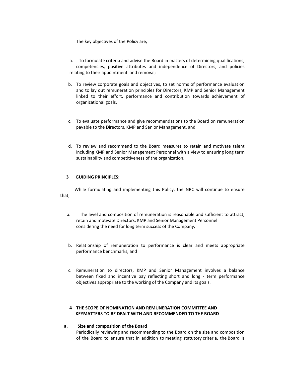The key objectives of the Policy are;

- a. To formulate criteria and advise the Board in matters of determining qualifications, competencies, positive attributes and independence of Directors, and policies relating to their appointment and removal;
- b. To review corporate goals and objectives, to set norms of performance evaluation and to lay out remuneration principles for Directors, KMP and Senior Management linked to their effort, performance and contribution towards achievement of organizational goals,
- c. To evaluate performance and give recommendations to the Board on remuneration payable to the Directors, KMP and Senior Management, and
- d. To review and recommend to the Board measures to retain and motivate talent including KMP and Senior Management Personnel with a view to ensuring long term sustainability and competitiveness of the organization.

## **3 GUIDING PRINCIPLES:**

 While formulating and implementing this Policy, the NRC will continue to ensure that;

- a. The level and composition of remuneration is reasonable and sufficient to attract, retain and motivate Directors, KMP and Senior Management Personnel considering the need for long term success of the Company,
- b. Relationship of remuneration to performance is clear and meets appropriate performance benchmarks, and
- c. Remuneration to directors, KMP and Senior Management involves a balance between fixed and incentive pay reflecting short and long ‐ term performance objectives appropriate to the working of the Company and its goals.

## **4 THE SCOPE OF NOMINATION AND REMUNERATION COMMITTEE AND KEYMATTERS TO BE DEALT WITH AND RECOMMENDED TO THE BOARD**

## **a. Size and composition of the Board**  Periodically reviewing and recommending to the Board on the size and composition of the Board to ensure that in addition to meeting statutory criteria, the Board is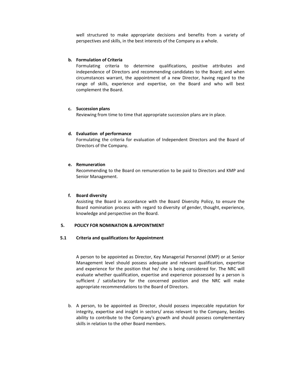well structured to make appropriate decisions and benefits from a variety of perspectives and skills, in the best interests of the Company as a whole.

## **b. Formulation of Criteria**

Formulating criteria to determine qualifications, positive attributes and independence of Directors and recommending candidates to the Board; and when circumstances warrant, the appointment of a new Director, having regard to the range of skills, experience and expertise, on the Board and who will best complement the Board.

## **c. Succession plans**

Reviewing from time to time that appropriate succession plans are in place.

## **d. Evaluation of performance**

Formulating the criteria for evaluation of Independent Directors and the Board of Directors of the Company.

#### **e. Remuneration**

Recommending to the Board on remuneration to be paid to Directors and KMP and Senior Management.

#### **f. Board diversity**

Assisting the Board in accordance with the Board Diversity Policy, to ensure the Board nomination process with regard to diversity of gender, thought, experience, knowledge and perspective on the Board.

#### **5. POLICY FOR NOMINATION & APPOINTMENT**

#### **5.1 Criteria and qualifications for Appointment**

A person to be appointed as Director, Key Managerial Personnel (KMP) or at Senior Management level should possess adequate and relevant qualification, expertise and experience for the position that he/ she is being considered for. The NRC will evaluate whether qualification, expertise and experience possessed by a person is sufficient  $/$  satisfactory for the concerned position and the NRC will make appropriate recommendations to the Board of Directors.

b. A person, to be appointed as Director, should possess impeccable reputation for integrity, expertise and insight in sectors/ areas relevant to the Company, besides ability to contribute to the Company's growth and should possess complementary skills in relation to the other Board members.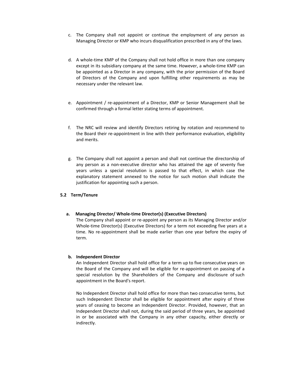- c. The Company shall not appoint or continue the employment of any person as Managing Director or KMP who incurs disqualification prescribed in any of the laws.
- d. A whole-time KMP of the Company shall not hold office in more than one company except in its subsidiary company at the same time. However, a whole-time KMP can be appointed as a Director in any company, with the prior permission of the Board of Directors of the Company and upon fulfilling other requirements as may be necessary under the relevant law.
- e. Appointment / re-appointment of a Director, KMP or Senior Management shall be confirmed through a formal letter stating terms of appointment.
- f. The NRC will review and identify Directors retiring by rotation and recommend to the Board their re‐appointment in line with their performance evaluation, eligibility and merits.
- g. The Company shall not appoint a person and shall not continue the directorship of any person as a non-executive director who has attained the age of seventy five years unless a special resolution is passed to that effect, in which case the explanatory statement annexed to the notice for such motion shall indicate the justification for appointing such a person.

## **5.2 Term/Tenure**

## **a. Managing Director/ Whole‐time Director(s) (Executive Directors)**

The Company shall appoint or re‐appoint any person as its Managing Director and/or Whole‐time Director(s) (Executive Directors) for a term not exceeding five years at a time. No re-appointment shall be made earlier than one year before the expiry of term.

## **b. Independent Director**

An Independent Director shall hold office for a term up to five consecutive years on the Board of the Company and will be eligible for re-appointment on passing of a special resolution by the Shareholders of the Company and disclosure of such appointment in the Board's report.

No Independent Director shall hold office for more than two consecutive terms, but such Independent Director shall be eligible for appointment after expiry of three years of ceasing to become an Independent Director. Provided, however, that an Independent Director shall not, during the said period of three years, be appointed in or be associated with the Company in any other capacity, either directly or indirectly.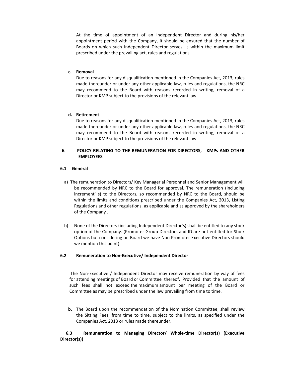At the time of appointment of an Independent Director and during his/her appointment period with the Company, it should be ensured that the number of Boards on which such Independent Director serves is within the maximum limit prescribed under the prevailing act, rules and regulations.

#### **c. Removal**

Due to reasons for any disqualification mentioned in the Companies Act, 2013, rules made thereunder or under any other applicable law, rules and regulations, the NRC may recommend to the Board with reasons recorded in writing, removal of a Director or KMP subject to the provisions of the relevant law.

## **d. Retirement**

Due to reasons for any disqualification mentioned in the Companies Act, 2013, rules made thereunder or under any other applicable law, rules and regulations, the NRC may recommend to the Board with reasons recorded in writing, removal of a Director or KMP subject to the provisions of the relevant law.

## **6. POLICY RELATING TO THE REMUNERATION FOR DIRECTORS, KMPs AND OTHER EMPLOYEES**

## **6.1 General**

- a) The remuneration to Directors/ Key Managerial Personnel and Senior Management will be recommended by NRC to the Board for approval. The remuneration (including increment' s) to the Directors, so recommended by NRC to the Board, should be within the limits and conditions prescribed under the Companies Act, 2013, Listing Regulations and other regulations, as applicable and as approved by the shareholders of the Company .
- b) None of the Directors (including Independent Director's) shall be entitled to any stock option of the Company. (Promoter Group Directors and ID are not entitled for Stock Options but considering on Board we have Non Promoter Executive Directors should we mention this point)

## **6.2 Remuneration to Non‐Executive/ Independent Director**

The Non-Executive / Independent Director may receive remuneration by way of fees for attending meetings of Board or Committee thereof. Provided that the amount of such fees shall not exceed the maximum amount per meeting of the Board or Committee as may be prescribed under the law prevailing from time to time.

**b.** The Board upon the recommendation of the Nomination Committee, shall review the Sitting Fees, from time to time, subject to the limits, as specified under the Companies Act, 2013 or rules made thereunder.

## **6.3 Remuneration to Managing Director/ Whole‐time Director(s) (Executive Director(s))**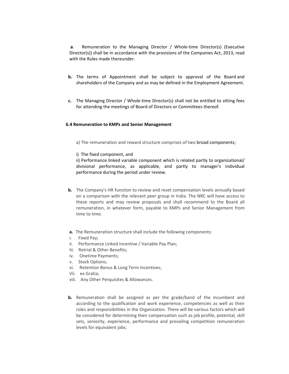**a**. Remuneration to the Managing Director / Whole‐time Director(s) (Executive Director(s)) shall be in accordance with the provisions of the Companies Act, 2013, read with the Rules made thereunder.

- **b.** The terms of Appointment shall be subject to approval of the Board and shareholders of the Company and as may be defined in the Employment Agreement.
- **c.** The Managing Director / Whole‐time Director(s) shall not be entitled to sitting fees for attending the meetings of Board of Directors or Committees thereof.

## **6.4 Remuneration to KMPs and Senior Management**

a) The remuneration and reward structure comprises of two broad components;

i) The fixed component, and

ii) Performance linked variable component which is related partly to organizational/ divisional performance, as applicable, and partly to manager's individual performance during the period under review.

- **b.** The Company's HR function to review and reset compensation levels annually based on a comparison with the relevant peer group in India. The NRC will have access to these reports and may review proposals and shall recommend to the Board all remuneration, in whatever form, payable to KMPs and Senior Management from time to time.
- **a.** The Remuneration structure shall include the following components:
- i. Fixed Pav:
- ii. Performance Linked Incentive / Variable Pay Plan;
- Iii. Retrial & Other Benefits;
- iv. Onetime Payments;
- v. Stock Options;
- vi. Retention Bonus & Long Term Incentives;
- Vii. ex Gratia:
- viii. Any Other Perquisites & Allowances.
- **b.** Remuneration shall be assigned as per the grade/band of the incumbent and according to the qualification and work experience, competencies as well as their roles and responsibilities in the Organization. There will be various factors which will be considered for determining their compensation such as job profile, potential, skill sets, seniority, experience, performance and prevailing competition remuneration levels for equivalent jobs.